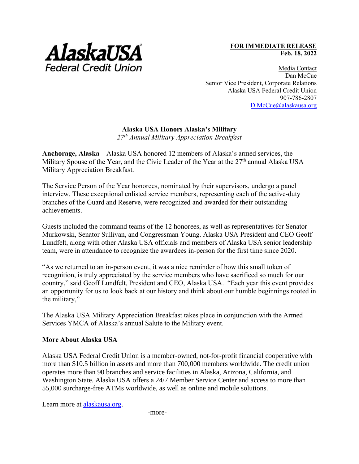

Media Contact Dan McCue Senior Vice President, Corporate Relations Alaska USA Federal Credit Union 907-786-2807 [D.McCue@alaskausa.org](mailto:D.McCue@alaskausa.org)

## **Alaska USA Honors Alaska's Military**

*27 th Annual Military Appreciation Breakfast*

**Anchorage, Alaska** – Alaska USA honored 12 members of Alaska's armed services, the Military Spouse of the Year, and the Civic Leader of the Year at the 27<sup>th</sup> annual Alaska USA Military Appreciation Breakfast.

The Service Person of the Year honorees, nominated by their supervisors, undergo a panel interview. These exceptional enlisted service members, representing each of the active-duty branches of the Guard and Reserve, were recognized and awarded for their outstanding achievements.

Guests included the command teams of the 12 honorees, as well as representatives for Senator Murkowski, Senator Sullivan, and Congressman Young. Alaska USA President and CEO Geoff Lundfelt, along with other Alaska USA officials and members of Alaska USA senior leadership team, were in attendance to recognize the awardees in-person for the first time since 2020.

"As we returned to an in-person event, it was a nice reminder of how this small token of recognition, is truly appreciated by the service members who have sacrificed so much for our country," said Geoff Lundfelt, President and CEO, Alaska USA. "Each year this event provides an opportunity for us to look back at our history and think about our humble beginnings rooted in the military,"

The Alaska USA Military Appreciation Breakfast takes place in conjunction with the Armed Services YMCA of Alaska's annual Salute to the Military event.

## **More About Alaska USA**

Alaska USA Federal Credit Union is a member-owned, not-for-profit financial cooperative with more than \$10.5 billion in assets and more than 700,000 members worldwide. The credit union operates more than 90 branches and service facilities in Alaska, Arizona, California, and Washington State. Alaska USA offers a 24/7 Member Service Center and access to more than 55,000 surcharge-free ATMs worldwide, as well as online and mobile solutions.

Learn more at [alaskausa.org.](http://www.alaskausa.org/)

-more-